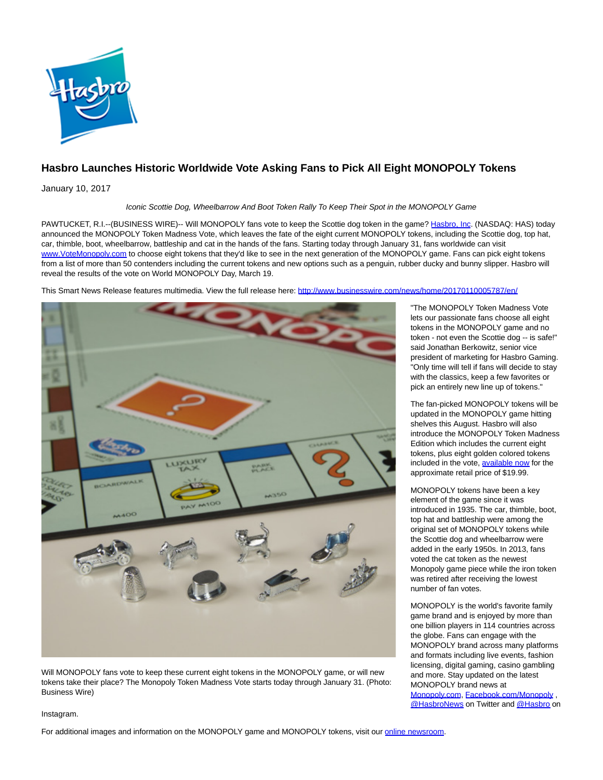

## **Hasbro Launches Historic Worldwide Vote Asking Fans to Pick All Eight MONOPOLY Tokens**

January 10, 2017

Iconic Scottie Dog, Wheelbarrow And Boot Token Rally To Keep Their Spot in the MONOPOLY Game

PAWTUCKET, R.I.--(BUSINESS WIRE)-- Will MONOPOLY fans vote to keep the Scottie dog token in the game? [Hasbro, Inc.](http://cts.businesswire.com/ct/CT?id=smartlink&url=http%3A%2F%2Fwww.hasbro.com&esheet=51490843&newsitemid=20170110005787&lan=en-US&anchor=Hasbro%2C+Inc&index=1&md5=a1fd9414c99cce3f53ac172a2c33ab60) (NASDAQ: HAS) today announced the MONOPOLY Token Madness Vote, which leaves the fate of the eight current MONOPOLY tokens, including the Scottie dog, top hat, car, thimble, boot, wheelbarrow, battleship and cat in the hands of the fans. Starting today through January 31, fans worldwide can visit [www.VoteMonopoly.com t](http://cts.businesswire.com/ct/CT?id=smartlink&url=http%3A%2F%2Fwww.VoteMonopoly.com&esheet=51490843&newsitemid=20170110005787&lan=en-US&anchor=www.VoteMonopoly.com&index=2&md5=cf1abc884024d5732efa9c105fed9e56)o choose eight tokens that they'd like to see in the next generation of the MONOPOLY game. Fans can pick eight tokens from a list of more than 50 contenders including the current tokens and new options such as a penguin, rubber ducky and bunny slipper. Hasbro will reveal the results of the vote on World MONOPOLY Day, March 19.

This Smart News Release features multimedia. View the full release here:<http://www.businesswire.com/news/home/20170110005787/en/>



Will MONOPOLY fans vote to keep these current eight tokens in the MONOPOLY game, or will new tokens take their place? The Monopoly Token Madness Vote starts today through January 31. (Photo: Business Wire)

"The MONOPOLY Token Madness Vote lets our passionate fans choose all eight tokens in the MONOPOLY game and no token - not even the Scottie dog -- is safe!" said Jonathan Berkowitz, senior vice president of marketing for Hasbro Gaming. "Only time will tell if fans will decide to stay with the classics, keep a few favorites or pick an entirely new line up of tokens."

The fan-picked MONOPOLY tokens will be updated in the MONOPOLY game hitting shelves this August. Hasbro will also introduce the MONOPOLY Token Madness Edition which includes the current eight tokens, plus eight golden colored tokens included in the vote, [available now f](http://cts.businesswire.com/ct/CT?id=smartlink&url=http%3A%2F%2Fwww.hasbro.com%2Fen-us%2Fproduct%2Fmonopoly-token-madness-game%3AFDB1B356-5056-9047-F556-6BFD86269A07&esheet=51490843&newsitemid=20170110005787&lan=en-US&anchor=available+now&index=3&md5=8faf4d18f2961d5a476d774a5d89f87e)or the approximate retail price of \$19.99.

MONOPOLY tokens have been a key element of the game since it was introduced in 1935. The car, thimble, boot, top hat and battleship were among the original set of MONOPOLY tokens while the Scottie dog and wheelbarrow were added in the early 1950s. In 2013, fans voted the cat token as the newest Monopoly game piece while the iron token was retired after receiving the lowest number of fan votes.

MONOPOLY is the world's favorite family game brand and is enjoyed by more than one billion players in 114 countries across the globe. Fans can engage with the MONOPOLY brand across many platforms and formats including live events, fashion licensing, digital gaming, casino gambling and more. Stay updated on the latest MONOPOLY brand news at

[Monopoly.com,](http://cts.businesswire.com/ct/CT?id=smartlink&url=http%3A%2F%2Fwww.monopoly.com%2F&esheet=51490843&newsitemid=20170110005787&lan=en-US&anchor=Monopoly.com&index=4&md5=0225a9a51bb3a98d091e3e62544b452c) [Facebook.com/Monopoly ,](http://cts.businesswire.com/ct/CT?id=smartlink&url=http%3A%2F%2Fwww.facebook.com%2Fmonopoly&esheet=51490843&newsitemid=20170110005787&lan=en-US&anchor=Facebook.com%2FMonopoly&index=5&md5=60284412c9dcec8bec71df8d094312cb) [@HasbroNews o](http://cts.businesswire.com/ct/CT?id=smartlink&url=http%3A%2F%2Fwww.twitter.com%2Fhasbronews&esheet=51490843&newsitemid=20170110005787&lan=en-US&anchor=%40HasbroNews&index=6&md5=b1f325c837cb19c991a1fe574768af20)n Twitter and [@Hasbro o](http://cts.businesswire.com/ct/CT?id=smartlink&url=https%3A%2F%2Fwww.instagram.com%2Fhasbro%2F%3Fhl%3Den&esheet=51490843&newsitemid=20170110005787&lan=en-US&anchor=%40Hasbro&index=7&md5=86087fc125a93367aba3a7a5dfce2928)n

## Instagram.

For additional images and information on the MONOPOLY game and MONOPOLY tokens, visit our [online newsroom.](http://cts.businesswire.com/ct/CT?id=smartlink&url=http%3A%2F%2Fnewsroom.hasbro.com%2Fmediakit%2FbrandToolkit.cfm&esheet=51490843&newsitemid=20170110005787&lan=en-US&anchor=online+newsroom&index=8&md5=125b640b312433e3e0e57183193b1984)